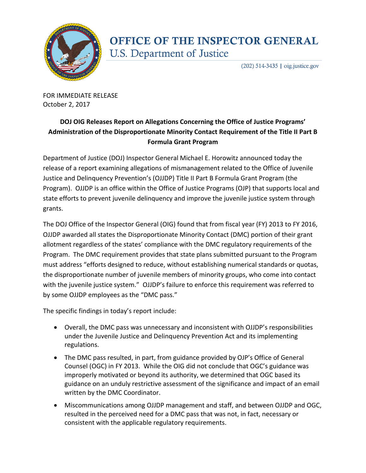

## **OFFICE OF THE INSPECTOR GENERAL** U.S. Department of Justice

 $(202)$  514-3435 | oig.justice.gov

FOR IMMEDIATE RELEASE October 2, 2017

## **DOJ OIG Releases Report on Allegations Concerning the Office of Justice Programs' Administration of the Disproportionate Minority Contact Requirement of the Title II Part B Formula Grant Program**

Department of Justice (DOJ) Inspector General Michael E. Horowitz announced today the release of a report examining allegations of mismanagement related to the Office of Juvenile Justice and Delinquency Prevention's (OJJDP) Title II Part B Formula Grant Program (the Program). OJJDP is an office within the Office of Justice Programs (OJP) that supports local and state efforts to prevent juvenile delinquency and improve the juvenile justice system through grants.

The DOJ Office of the Inspector General (OIG) found that from fiscal year (FY) 2013 to FY 2016, OJJDP awarded all states the Disproportionate Minority Contact (DMC) portion of their grant allotment regardless of the states' compliance with the DMC regulatory requirements of the Program. The DMC requirement provides that state plans submitted pursuant to the Program must address "efforts designed to reduce, without establishing numerical standards or quotas, the disproportionate number of juvenile members of minority groups, who come into contact with the juvenile justice system." OJJDP's failure to enforce this requirement was referred to by some OJJDP employees as the "DMC pass."

The specific findings in today's report include:

- Overall, the DMC pass was unnecessary and inconsistent with OJJDP's responsibilities under the Juvenile Justice and Delinquency Prevention Act and its implementing regulations.
- The DMC pass resulted, in part, from guidance provided by OJP's Office of General Counsel (OGC) in FY 2013. While the OIG did not conclude that OGC's guidance was improperly motivated or beyond its authority, we determined that OGC based its guidance on an unduly restrictive assessment of the significance and impact of an email written by the DMC Coordinator.
- Miscommunications among OJJDP management and staff, and between OJJDP and OGC, resulted in the perceived need for a DMC pass that was not, in fact, necessary or consistent with the applicable regulatory requirements.